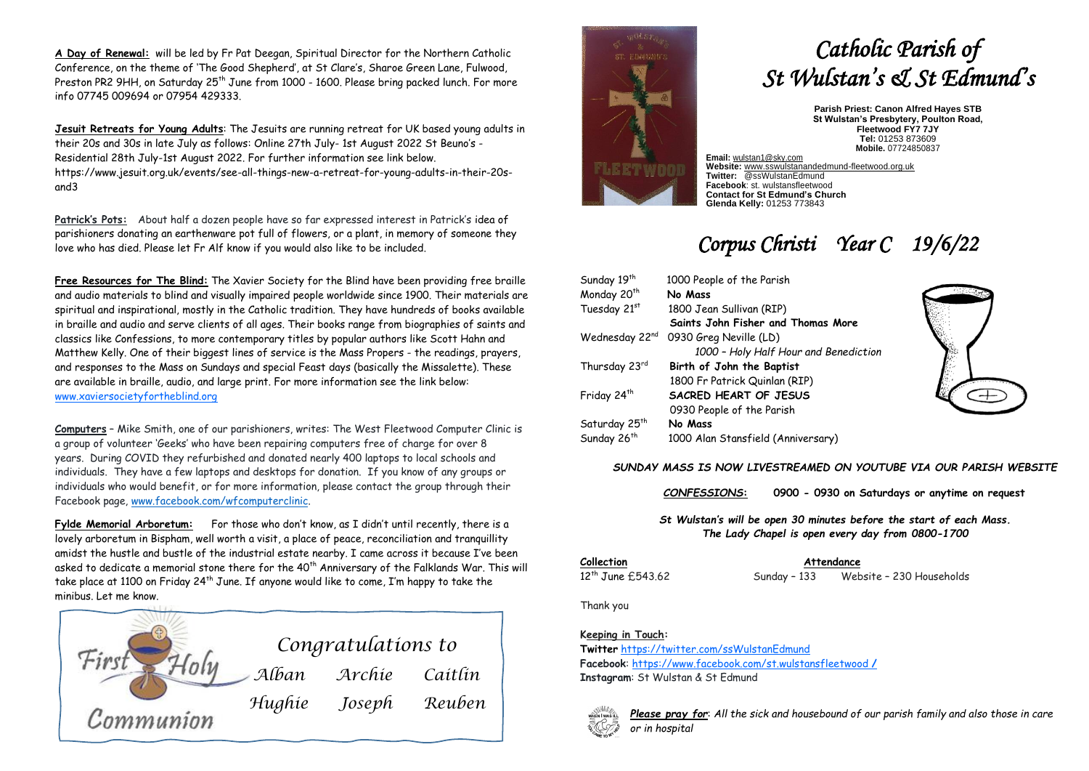**A Day of Renewal:** will be led by Fr Pat Deegan, Spiritual Director for the Northern Catholic Conference, on the theme of 'The Good Shepherd', at St Clare's, Sharoe Green Lane, Fulwood, oom of once, on the monito of the occur onephoral, at or old os, ondi colored and, I dimess, I dimess, info 07745 009694 or 07954 429333.

**Jesuit Retreats for Young Adults**: The Jesuits are running retreat for UK based young adults in their 20s and 30s in late July as follows: Online 27th July- 1st August 2022 St Beuno's - Residential 28th July-1st August 2022. For further information see link below. https://www.jesuit.org.uk/events/see-all-things-new-a-retreat-for-young-adults-in-their-20sand3

**Patrick's Pots:** About half a dozen people have so far expressed interest in Patrick's idea of parishioners donating an earthenware pot full of flowers, or a plant, in memory of someone they love who has died. Please let Fr Alf know if you would also like to be included.

**Free Resources for The Blind:** The Xavier Society for the Blind have been providing free braille and audio materials to blind and visually impaired people worldwide since 1900. Their materials are spiritual and inspirational, mostly in the Catholic tradition. They have hundreds of books available in braille and audio and serve clients of all ages. Their books range from biographies of saints and classics like Confessions, to more contemporary titles by popular authors like Scott Hahn and Matthew Kelly. One of their biggest lines of service is the Mass Propers - the readings, prayers, and responses to the Mass on Sundays and special Feast days (basically the Missalette). These are available in braille, audio, and large print. For more information see the link below: [www.xaviersocietyfortheblind.org](http://www.xaviersocietyfortheblind.org/)

**Computers** – Mike Smith, one of our parishioners, writes: The West Fleetwood Computer Clinic is a group of volunteer 'Geeks' who have been repairing computers free of charge for over 8 years. During COVID they refurbished and donated nearly 400 laptops to local schools and individuals. They have a few laptops and desktops for donation. If you know of any groups or individuals who would benefit, or for more information, please contact the group through their Facebook page, [www.facebook.com/wfcomputerclinic.](http://www.facebook.com/wfcomputerclinic)

**Fylde Memorial Arboretum:** For those who don't know, as I didn't until recently, there is a lovely arboretum in Bispham, well worth a visit, a place of peace, reconciliation and tranquillity amidst the hustle and bustle of the industrial estate nearby. I came across it because I've been asked to dedicate a memorial stone there for the 40<sup>th</sup> Anniversary of the Falklands War. This will take place at 1100 on Friday 24<sup>th</sup> June. If anyone would like to come. I'm happy to take the minibus. Let me know.





# *Catholic Parish of St Wulstan's & St Edmund's*

**Parish Priest: Canon Alfred Hayes STB St Wulstan's Presbytery, Poulton Road, Fleetwood FY7 7JY Tel:** 01253 873609 **Mobile.** 07724850837

**Email:** [wulstan1@sky.com](mailto:wulstan1@sky.com) **Website:** [www.sswulstanandedmund-fleetwood.org.uk](http://www.sswulstanandedmund-fleetwood.org.uk/) **Twitter:** @ssWulstanEdmund **Facebook**: st. wulstansfleetwood **Contact for St Edmund's Church Glenda Kelly:** 01253 773843

## *Corpus Christi Year C 19/6/22*

| Sunday 19th               | 1000 People of the Parish             |
|---------------------------|---------------------------------------|
| Monday 20 <sup>th</sup>   | No Mass                               |
| Tuesday 21st              | 1800 Jean Sullivan (RIP)              |
|                           | Saints John Fisher and Thomas More    |
| Wednesday 22nd            | 0930 Greg Neville (LD)                |
|                           | 1000 - Holy Half Hour and Benediction |
| Thursday 23rd             | Birth of John the Baptist             |
|                           | 1800 Fr Patrick Quinlan (RIP)         |
| Friday 24 <sup>th</sup>   | SACRED HEART OF JESUS                 |
|                           | 0930 People of the Parish             |
| Saturday 25 <sup>th</sup> | No Mass                               |
| Sunday 26 <sup>th</sup>   | 1000 Alan Stansfield (Anniversary)    |
|                           |                                       |



#### *SUNDAY MASS IS NOW LIVESTREAMED ON YOUTUBE VIA OUR PARISH WEBSITE*

*CONFESSIONS***: 0900 - 0930 on Saturdays or anytime on request**

*St Wulstan's will be open 30 minutes before the start of each Mass. The Lady Chapel is open every day from 0800-1700*

**Collection Attendance**

12th June £543.62 Sunday – 133 Website – 230 Households

Thank you

### **Keeping in Touch:**

**Twitter** <https://twitter.com/ssWulstanEdmund> **Facebook**: https://www.facebook.com/st.wulstansfleetwood **/ Instagram**: St Wulstan & St Edmund



*Please pray for*: *All the sick and housebound of our parish family and also those in care or in hospital*